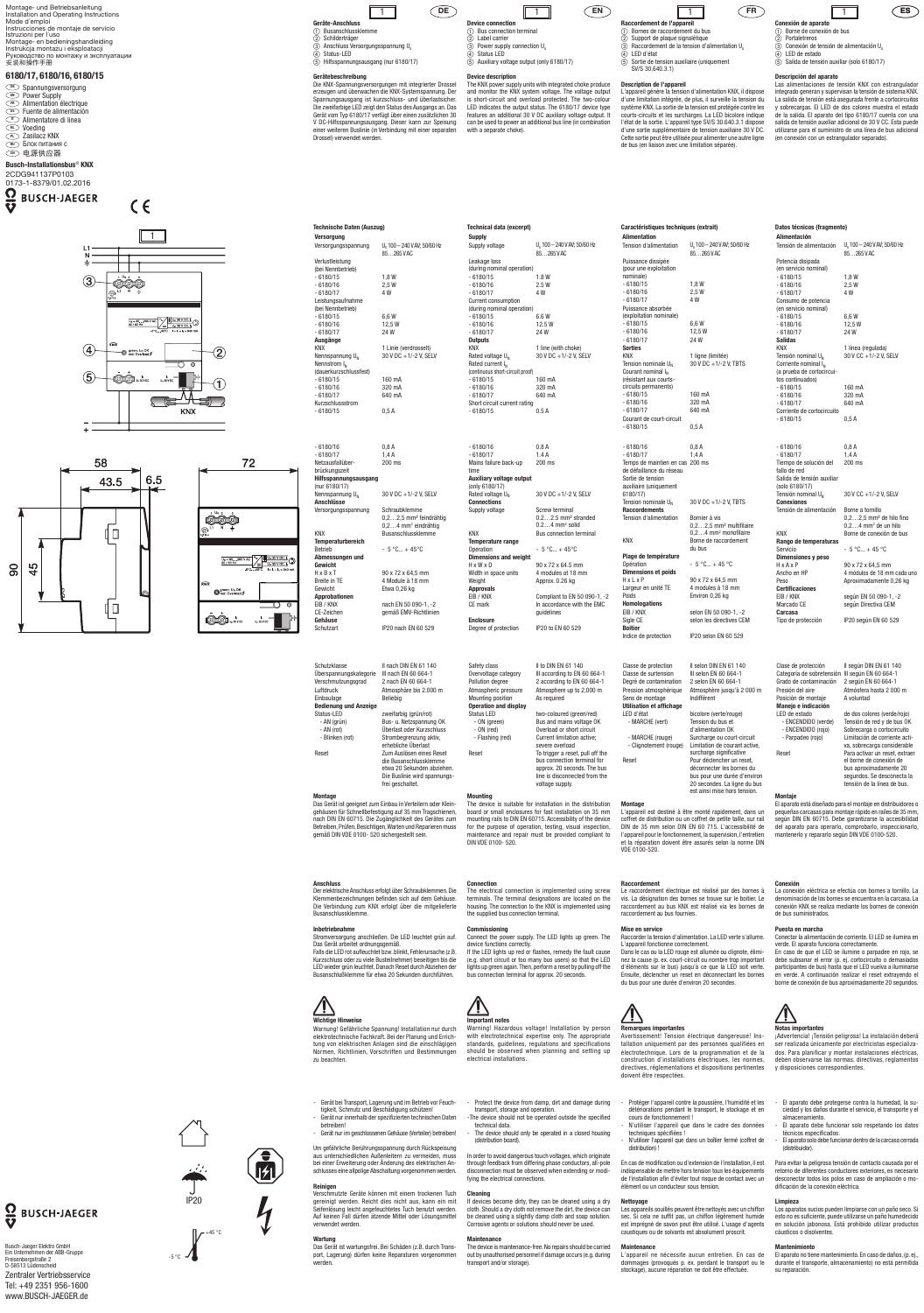**DE**

- 2 Label carrier
- $\circled{3}$  Power supply connection  $U_s$ Status LED  $\overline{6}$  Auxiliary voltage output (only 6180/17)

# **Gerätebeschreibung**

Die KNX-Spannungsversorgungen mit integrierter Drossel erzeugen und überwachen die KNX-Systemspannung. Der Spannungsausgang ist kurzschluss- und überlastsicher. Die zweifarbige LED zeigt den Status des Ausgangs an. Das Gerät vom Typ 6180/17 verfügt über einen zusätzlichen 30 V DC-Hilfsspannungsausgang. Dieser kann zur Speisung einer weiteren Buslinie (in Verbindung mit einer separaten Drossel) verwendet werden.

| Technische Daten (Auszug)   |                                           |  |  |  |
|-----------------------------|-------------------------------------------|--|--|--|
| <b>Versorgung</b>           |                                           |  |  |  |
| Versorgungsspannung         | U. 100 - 240 V AV; 50/60 Hz<br>85265 V AC |  |  |  |
| Verlustleistung             |                                           |  |  |  |
| (bei Nennbetrieb)           |                                           |  |  |  |
| $-6180/15$                  | 1.8W                                      |  |  |  |
| $-6180/16$                  | 2.5W                                      |  |  |  |
| $-6180/17$                  | 4 W                                       |  |  |  |
| Leistungsaufnahme           |                                           |  |  |  |
| (bei Nennbetrieb)           |                                           |  |  |  |
| $-6180/15$                  | 6,6W                                      |  |  |  |
| $-6180/16$                  | 12,5 W                                    |  |  |  |
| $-6180/17$                  | 24W                                       |  |  |  |
| Ausgänge                    |                                           |  |  |  |
| <b>KNX</b>                  | 1 Linie (verdrosselt)                     |  |  |  |
| Nennspannung U <sub>N</sub> | 30 V DC +1/-2 V, SELV                     |  |  |  |
| Nennstrom $I_N$             |                                           |  |  |  |
| (dauerkurzschlussfest)      |                                           |  |  |  |
| $-6180/15$                  | 160 mA                                    |  |  |  |
| $-6180/16$                  | 320 mA                                    |  |  |  |
| $-6180/17$                  | 640 mA                                    |  |  |  |
| Kurzschlussstrom            |                                           |  |  |  |
| $-6180/15$                  | 0,5 A                                     |  |  |  |

| $-6180/16$                  | 0,8A                                            |
|-----------------------------|-------------------------------------------------|
| $-6180/17$                  | 1,4A                                            |
| Netzausfallüber-            | 200 ms                                          |
| brückungszeit               |                                                 |
| Hilfsspannungsausgang       |                                                 |
| (nur 6180/17)               |                                                 |
| Nennspannung U <sub>N</sub> | 30 V DC +1/-2 V, SELV                           |
| <b>Anschlüsse</b>           |                                                 |
| Versorgungsspannung         | Schraubklemme                                   |
|                             | $0, 2, \ldots 2, 5$ mm <sup>2</sup> feindrähtig |
|                             | $0, 24$ mm <sup>2</sup> eindrähtig              |
| <b>KNX</b>                  | <b>Busanschlussklemme</b>                       |
| <b>Temperaturbereich</b>    |                                                 |
| <b>Betrieb</b>              | $-5^{\circ}$ C + 45°C                           |
| Abmessungen und             |                                                 |
| Gewicht                     |                                                 |
| $H \times R \times T$       | 90 x 72 x 64,5 mm                               |
| <b>Breite in TE</b>         | 4 Module à 18 mm                                |
| Gewicht                     | Etwa 0,26 kg                                    |
| Approbationen               |                                                 |
| EIB / KNX                   | nach EN 50 090-1, -2                            |
| CE-Zeichen                  | gemäß EMV-Richtlinien                           |
| Gehäuse                     |                                                 |
| Schutzart                   | IP20 nach FN 60 529                             |
|                             |                                                 |

| Schutzklasse<br>Uberspannungskategorie<br>Verschmutzungsgrad<br>Luftdruck<br>Einbaulage | II nach DIN EN 61 140<br>III nach EN 60 664-1<br>2 nach EN 60 664-1<br>Atmosphäre bis 2.000 m<br>Beliebia                           |
|-----------------------------------------------------------------------------------------|-------------------------------------------------------------------------------------------------------------------------------------|
| <b>Bedienung und Anzeige</b>                                                            |                                                                                                                                     |
| Status-LED                                                                              | zweifarbig (grün/rot)                                                                                                               |
| - AN (grün)                                                                             | Bus- u. Netzspannung OK                                                                                                             |
| - AN (rot)                                                                              | Überlast oder Kurzschluss                                                                                                           |
| - Blinken (rot)                                                                         | Strombegrenzung aktiv,<br>erhebliche Überlast                                                                                       |
| Reset                                                                                   | Zum Auslösen eines Reset<br>die Busanschlussklemme<br>etwa 20 Sekunden abziehen.<br>Die Buslinie wird spannungs<br>frei geschaltet. |
|                                                                                         |                                                                                                                                     |



The KNX power supply units with integrated choke produce and monitor the KNX system voltage. The voltage output is short-circuit and overload protected. The two-colour LED indicates the output status. The 6180/17 device type features an additional 30 V DC auxiliary voltage output. It can be used to power an additional bus line (in combination with a separate choke).

## **Montage**

Das Gerät ist geeignet zum Einbau in Verteilern oder Kleingehäusen für Schnellbefestigung auf 35 mm Tragschienen, nach DIN EN 60715. Die Zugänglichkeit des Gerätes zum Betreiben, Prüfen, Besichtigen, Warten und Reparieren muss gemäß DIN VDE 0100- 520 sichergestellt sein.

#### **Anschluss**

Der elektrische Anschluss erfolgt über Schraubklemmen. Die Klemmenbezeichnungen befinden sich auf dem Gehäuse. Die Verbindung zum KNX erfolgt über die mitgelieferte Busanschlussklemme.

#### **Inbetriebnahme**

**Connections** Supply voltage Screw terminal 0.2…2.5 mm² stranded 0.2...4 mm<sup>2</sup> solid KNX Bus connection terminal **Temperature range** Operation  $-5 °C... + 45 °C$ **Dimensions and weight** H x W x D 90 x 72 x 64.5 mm Width in Weight

Stromversorgung anschließen. Die LED leuchtet grün auf. Das Gerät arbeitet ordnungsgemäß. Falls die LED rot aufleuchtet bzw. blinkt, Fehlerursache (z.B. Kurzschluss oder zu viele Busteilnehmer) beseitigen bis die LED wieder grün leuchtet. Danach Reset durch Abziehen der Busanschlußklemme für etwa 20 Sekunden durchführen.

Warnung! Gefährliche Spannung! Installation nur durch elektrotechnische Fachkraft. Bei der Planung und Errichtung von elektrischen Anlagen sind die einschlägigen Normen, Richtlinien, Vorschriften und Bestimmungen zu beachten.

#### The electrical connection is implemented using screw terminals. The terminal designations are located on the housing. The connection to the KNX is implemented using the supplied bus connection terminal

- Gerät bei Transport, Lagerung und im Betrieb vor Feuchtigkeit, Schmutz und Beschädigung schützen!
- Gerät nur innerhalb der spezifizierten technischen Daten betreiben!
- Gerät nur im geschlossenen Gehäuse (Verteiler) betreiben!

Um gefährliche Berührungsspannung durch Rückspeisung aus unterschiedlichen Außenleitern zu vermeiden, muss bei einer Erweiterung oder Änderung des elektrischen Anschlusses eine allpolige Abschaltung vorgenommen werden.

#### **Reinigen**

Verschmutzte Geräte können mit einem trockenen Tuch gereinigt werden. Reicht dies nicht aus, kann ein mit Seifenlösung leicht angefeuchtetes Tuch benutzt werden. Auf keinen Fall dürfen ätzende Mittel oder Lösungsmittel verwendet werden.

- Protect the device from damp, dirt and damage during transport, storage and operation.
- -The device should not be operated outside the specified
- technical data. The device should only be operated in a closed housing (distribution board).

**Wartung** Das Gerät ist wartungsfrei. Bei Schäden (z.B. durch Transport, Lagerung) dürfen keine Reparaturen vorgenommen werden.

If devices become dirty, they can be cleaned using a dry cloth. Should a dry cloth not remove the dirt, the device can be cleaned using a slightly damp cloth and soap solution. Corrosive agents or solutions should never be used.



72

**OOO** 

 $Q_{\text{red}: \text{Overall}}^{\text{green}: \text{ U}_n \text{ OK}}$ 

00 ....

 $\epsilon$ 



## **Device description**

 $\frac{S\mathsf{U}}{S\mathsf{U}}$ 

- $\Omega$  Bornes de raccordement du bus<br> $\Omega$  Support de plaque signalétique Support de plaque signalétique
- $\overline{a}$  Raccordement de la tension d'alimentation U<sub>s</sub>
- 4) LED d'état<br>(5) Sortie de te Sortie de tension auxiliaire (uniquement SV/S 30.640.3.1)

| Technical data (excerpt)         |                             |
|----------------------------------|-----------------------------|
| <b>Supply</b>                    |                             |
| Supply voltage                   | U. 100 - 240 V AV; 50/60 Hz |
|                                  | 85265VAC                    |
| Leakage loss                     |                             |
| (during nominal operation)       |                             |
| $-6180/15$                       | 1.8W                        |
| $-6180/16$                       | 2.5W                        |
| $-6180/17$                       | 4 W                         |
| <b>Current consumption</b>       |                             |
| (during nominal operation)       |                             |
| $-6180/15$                       | 6.6W                        |
| $-6180/16$                       | 12.5W                       |
| $-6180/17$                       | 24 W                        |
| <b>Outputs</b>                   |                             |
| <b>KNX</b>                       | 1 line (with choke)         |
| Rated voltage U <sub>N</sub>     | 30 V DC +1/-2 V, SELV       |
| Rated current I <sub>N</sub>     |                             |
| (continuous short-circuit proof) |                             |
| $-6180/15$                       | 160 mA                      |
| $-6180/16$                       | 320 mA                      |
| $-6180/17$                       | 640 mA                      |
| Short circuit current rating     |                             |
| $-6180/15$                       | 0.5A                        |
|                                  |                             |
|                                  |                             |
|                                  |                             |
| $-6180/16$                       | 0.8A                        |
| $-6180/17$                       | 1.4A                        |
| Mains failure back-up            | 200 ms                      |
| time                             |                             |
| <b>Auxiliary voltage output</b>  |                             |
| (only 6180/17)                   |                             |
| Rated voltage U <sub>N</sub>     | 30 V DC +1/-2 V, SELV       |

| Width in space units | 4 modules at 18 mm                       |
|----------------------|------------------------------------------|
| Weight               | Approx. 0.26 kg                          |
| <b>Approvals</b>     |                                          |
| EIB / KNX            | Compliant to EN 50 090-1, -2             |
| CE mark              | In accordance with the EMC<br>quidelines |
| <b>Enclosure</b>     |                                          |
| Degree of protection | IP20 to EN 60 529                        |

Le raccordement électrique est réalisé par des bornes à vis. La désignation des bornes se trouve sur le boitier. Le raccordement au bus KNX est réalisé via les bornes de raccordement au bus fournies.

| Safety class                 | II to DIN EN 61 140                           |
|------------------------------|-----------------------------------------------|
| Overvoltage category         | III according to EN 60 664-1                  |
| Pollution degree             | 2 according to EN 60 664-1                    |
| Atmospheric pressure         | Atmosphere up to 2,000 m                      |
| Mounting position            | As required                                   |
| <b>Operation and display</b> |                                               |
| <b>Status LED</b>            | two-coloured (green/red)                      |
| - ON (green)                 | Bus and mains voltage OK                      |
| $- ON (red)$                 | Overload or short circuit                     |
| - Flashing (red)             | Current limitation active:<br>severe overload |
| Reset                        | To trigger a reset, pull off the              |
|                              | bus connection terminal for                   |
|                              |                                               |
|                              | approx. 20 seconds. The bus                   |
|                              | line is disconnected from the                 |
|                              | voltage supply.                               |

Avertissement! Tension électrique dangereuse! Installation uniquement par des personnes qualifiées en électrotechnique. Lors de la programmation et de la construction d'installations électriques, les normes, directives, réglementations et dispositions pertinentes doivent être respectées.

| <b>Device connection</b>  |  |
|---------------------------|--|
| 1 Bus connection terminal |  |

# **Mounting**

The device is suitable for installation in the distribution board or small enclosures for fast installation on 35 mm mounting rails to DIN EN 60715. Accessibility of the device for the purpose of operation, testing, visual inspection, maintenance and repair must be provided compliant to DIN VDE 0100- 520.

**Connection**

#### **Commissioning**

Las alimentaciones de tensión KNX con estrangulador integrado generan y supervisan la tensión de sistema KNX. La salida de tensión está asegurada frente a cortocircuitos y sobrecargas. El LED de dos colores muestra el estado de la salida. El aparato del tipo 6180/17 cuenta con una salida de tensión auxiliar adicional de 30 V CC. Esta puede utilizarse para el suministro de una línea de bus adicional (en conexión con un estrangulador separado).

Connect the power supply. The LED lights up green. The device functions correctly. If the LED lights up red or flashes, remedy the fault cause (e.g. short circuit or too many bus users) so that the LED lights up green again. Then, perform a reset by pulling off the bus connection terminal for approx. 20 seconds.

## **Important notes**

Warning! Hazardous voltage! Installation by person with electrotechnical expertise only. The appropriate standards, guidelines, regulations and specifications should be observed when planning and setting up electrical installations.

In order to avoid dangerous touch voltages, which originate through feedback from differing phase conductors, all-pole disconnection must be observed when extending or modifying the electrical connections.

## **Cleaning**

#### **Maintenance**

The device is maintenance-free. No repairs should be carried out by unauthorised personnel if damage occurs (e.g. during transport and/or storage).

# **Description de l'appareil**

#### **EN FR ES Raccordement de l'appareil** 1

L'appareil génère la tension d'alimentation KNX, il dispose d'une limitation intégrée, de plus, il surveille la tension du système KNX. La sortie de la tension est protégée contre les courts-circuits et les surcharges. La LED bicolore indique l'état de la sortie. L'appareil type SV/S 30.640.3.1 dispose d'une sortie supplémentaire de tension auxiliaire 30 V DC. Cette sortie peut être utilisée pour alimenter une autre ligne de bus (en liaison avec une limitation séparée).

| Caractéristiques techniques (extrait)                 |                                                      |
|-------------------------------------------------------|------------------------------------------------------|
| <b>Alimentation</b>                                   |                                                      |
| Tension d'alimentation                                | $U_s$ 100 - 240 V AV; 50/60 Hz<br>85265 VAC          |
| Puissance dissipée                                    |                                                      |
| (pour une exploitation                                |                                                      |
| nominale)                                             |                                                      |
| $-6180/15$                                            | 1,8 W                                                |
| $-6180/16$                                            | 2,5W                                                 |
| $-6180/17$                                            | 4 W                                                  |
| Puissance absorbée                                    |                                                      |
| (exploitation nominale)                               |                                                      |
| $-6180/15$                                            | 6,6W                                                 |
| $-6180/16$<br>$-6180/17$                              | 12,5W<br>24W                                         |
| <b>Sorties</b>                                        |                                                      |
| <b>KNX</b>                                            | 1 ligne (limitée)                                    |
| Tension nominale $U_{N}$                              | 30 V DC +1/-2 V, TBTS                                |
| Courant nominal I <sub>N</sub>                        |                                                      |
| (résistant aux courts-                                |                                                      |
| circuits permanents)                                  |                                                      |
| $-6180/15$                                            | 160 mA                                               |
| $-6180/16$                                            | 320 mA                                               |
| $-6180/17$                                            | 640 mA                                               |
| Courant de court-circuit                              |                                                      |
| $-6180/15$                                            | 0.5A                                                 |
| $-6180/16$                                            | 0,8A                                                 |
| $-6180/17$                                            | 1.4A                                                 |
| Temps de maintien en cas 200 ms                       |                                                      |
| de défaillance du réseau                              |                                                      |
| Sortie de tension                                     |                                                      |
| auxiliaire (uniquement                                |                                                      |
| 6180/17)                                              |                                                      |
| Tension nominale U <sub>N</sub>                       | 30 V DC +1/-2 V, TBTS                                |
| <b>Raccordements</b><br><b>Tension d'alimentation</b> |                                                      |
|                                                       | Bornier à vis<br>0,22,5 mm <sup>2</sup> multifilaire |
|                                                       | 0,24 mm <sup>2</sup> monofilaire                     |
| <b>KNX</b>                                            | Borne de raccordement                                |
|                                                       | du bus                                               |
| Plage de température                                  |                                                      |
| Opération                                             | $-5 °C + 45 °C$                                      |
| <b>Dimensions et poids</b>                            |                                                      |
| HxLxP                                                 | 90 x 72 x 64,5 mm                                    |
| Largeur en unité TE                                   | 4 modules à 18 mm                                    |
| Poids                                                 | Environ 0,26 kg                                      |
| <b>Homologations</b>                                  |                                                      |
| EIB / KNX                                             | selon EN 50 090-1, -2                                |
| Sigle CE<br><b>Boitier</b>                            | selon les directives CEM                             |
| Indice de protection                                  | IP20 selon EN 60 529                                 |
|                                                       |                                                      |
|                                                       |                                                      |
| Classe de protection                                  | Il selon DIN EN 61 140                               |

| Classe de surtension     | III selon EN 60 664-1         |
|--------------------------|-------------------------------|
| Degré de contamination   | 2 selon EN 60 664-1           |
| Pression atmosphérique   | Atmosphère jusqu'à 2 000 m    |
| Sens de montage          | Indifférent                   |
| Utilisation et affichage |                               |
| LED d'état               | bicolore (verte/rouge)        |
| - MARCHE (vert)          | Tension du bus et             |
|                          | d'alimentation OK             |
| - MARCHE (rouge)         | Surcharge ou court-circuit    |
| - Clignotement (rouge)   | Limitation de courant active. |
|                          | surcharge significative       |
| Reset                    | Pour déclencher un reset.     |
|                          | déconnecter les bornes du     |
|                          | bus pour une durée d'environ  |
|                          | 20 secondes. La ligne du bus  |
|                          | est ainsi mise hors tension.  |

**Montage** L'appareil est destiné à être monté rapidement, dans un coffret de distribution ou un coffret de petite taille, sur rail DIN de 35 mm selon DIN EN 60 715. L'accessibilité de l'appareil pour le fonctionnement, la supervision, l'entretien et la réparation doivent être assurés selon la norme DIN VDE 0100-520.

#### **Raccordement**

#### **Mise en service**

Raccorder la tension d'alimentation. La LED verte s'allume. L'appareil fonctionne correctement. Dans le cas ou la LED rouge est allumée ou clignote, éliminez la cause (p. ex. court-circuit ou nombre trop important d'éléments sur le bus) jusqu'à ce que la LED soit verte.

du bus pour une durée d'environ 20 secondes.

#### **Remarques importantes**

- Protéger l'appareil contre la poussière, l'humidité et les détériorations pendant le transport, le stockage et en cours de fonctionnement !
- N'utiliser l'appareil que dans le cadre des données techniques spécifiées !
- N'utiliser l'appareil que dans un boîtier fermé (coffret de distribution) !

En cas de modification ou d'extension de l'installation, il est indispensable de mettre hors tension tous les équipements de l'installation afin d'éviter tout risque de contact avec un élément ou un conducteur sous tension.

## **Nettoyage**

Les appareils souillés peuvent être nettoyés avec un chiffon sec. Si cela ne suffit pas, un chiffon légèrement humide est imprégné de savon peut être utilisé. L'usage d'agents caustiques ou de solvants est absolument proscrit.

#### **Maintenance**

L'appareil ne nécessite aucun entretien. En cas de dommages (provoqués p. ex. pendant le transport ou le stockage), aucune réparation ne doit être effectuée.

## **Conexión de aparato** a Borne de conexión de bus

## **Descripción del aparato**

**Datos técnicos (fragmento)**

Ensuite, déclencher un reset en déconnectant les bornes En caso de que el LED se ilumine o parpadee en rojo, se debe subsanar el error (p. ej. cortocircuito o demasiados participantes de bus) hasta que el LED vuelva a iluminarse en verde. A continuación realizar el reset extrayendo el borne de conexión de bus aproximadamente 20 segundos.

### **Alimentación**  $U_s$  100 – 240 V AV; 50/60 Hz 85…265 V AC Potencia disipada (en servicio nominal) - 6180/15 1,8 W - 6180/16 2,5 W - 6180/17 4 W Consumo de potencia (en servicio nominal)  $-6180/15$  6,6 W - 6180/16 12,5 W<br>- 6180/17 24 W  $-6180/17$ **Salidas** 1 línea (regulada) Tensión nominal U<sub>N</sub>  $30$  V CC +1/-2 V, SELV Corriente nominal I<sub>M</sub> (a prueba de cortocircui tos continuados) - 6180/15 160 mA<br>- 6180/16 320 mA 320 mA<br>640 mA  $-6180/17$ Corriente de cortocircuito - 6180/15 0,5 A - 6180/16 0,8 A<br>- 6180/17 1,4 A  $-6180/17$ Tiempo de solución del fallo de red 200 ms Salida de tensión auxiliar (solo 6180/17)<br>Tensión nominal U<sub>n</sub> 30 V CC +1/-2 V, SELV **Conexiones** Tensión de alimentación Borne a tornillo 0,2…2,5 mm² de hilo fino 0,2…4 mm2 de un hilo KNX Borne de conexión de bus **Rango de temperaturas** Servicio  $-5^\circ \text{C}$ ... + 45 °C **Dimensiones y peso** H x A x P 90 x 72 x 64,5 mm Ancho en HP 4 módulos de 18 mm cada uno Peso Aproximadamente 0,26 kg **Certificacione**<br>**FIB / KNX** según FN 50 090-1, -2 Marcado CE según Directiva CEM **Carcasa** Tipo de protección IP20 según EN 60 529 Clase de protección II según DIN EN 61 140 Categoría de sobretensión III según EN 60 664-1

| Grado de contaminación | 2 según EN 60 664-1            |
|------------------------|--------------------------------|
| Presión del aire       | Atmósfera hasta 2 000 m        |
| Posición de montaje    | A voluntad                     |
| Manejo e indicación    |                                |
| LED de estado          | de dos colores (verde/rojo)    |
| - ENCENDIDO (verde)    | Tensión de red y de bus OK     |
| - ENCENDIDO (rojo)     | Sobrecarga o cortocircuito     |
| - Parpadeo (rojo)      | Limitación de corriente acti-  |
|                        | va, sobrecarga considerable    |
| Reset                  | Para activar un reset, extraer |
|                        | el borne de conexión de        |
|                        | bus aproximadamente 20         |
|                        | segundos. Se desconecta la     |
|                        | tensión de la línea de bus.    |

# **Montaje**

El aparato está diseñado para el montaje en distribuidores o pequeñas carcasas para montaje rápido en raíles de 35 mm, según DIN EN 60715. Debe garantizarse la accesibilidad del aparato para operarlo, comprobarlo, inspeccionarlo, mantenerlo y repararlo según DIN VDE 0100-520.

**Conexión**

La conexión eléctrica se efectúa con bornes a tornillo. La denominación de los bornes se encuentra en la carcasa. La conexión KNX se realiza mediante los bornes de conexión

de bus suministrados. **Puesta en marcha**

Conectar la alimentación de corriente. El LED se ilumina en

verde. El aparato funciona correctamente.

# **Wichtige Hinweis**

#### **Notas importantes**

¡Advertencia! ¡Tensión peligrosa! La instalación deberá ser realizada únicamente por electricistas especializados. Para planificar y montar instalaciones eléctricas, deben observarse las normas, directivas, reglamentos y disposiciones correspondientes.

#### - El aparato debe protegerse contra la humedad, la suciedad y los daños durante el servicio, el transporte y el almacenamiento.

- El aparato debe funcionar solo respetando los datos técnicos especificados.
- El aparato solo debe funcionar dentro de la carcasa cerrada (distribuidor).

Para evitar la peligrosa tensión de contacto causada por el retorno de diferentes conductores exteriores, es necesario desconectar todos los polos en caso de ampliación o modificación de la conexión eléctrica.

#### **Limpieza**

Los aparatos sucios pueden limpiarse con un paño seco. Si esto no es suficiente, puede utilizarse un paño humedecido en solución jabonosa. Está prohibido utilizar productos cáusticos o disolventes.

#### **Mantenimiento**

El aparato no tiene mantenimiento. En caso de daños, (p. ej., durante el transporte, almacenamiento) no está permitida su reparación.

1

- 2 Portaletreros
- $\overline{3}$  Conexión de tensión de alimentación U.
- LED de estado  $\widetilde{\textcircled{s}}$  Salida de tensión auxiliar (solo 6180/17)



# $\frac{O}{V}$  BUSCH-JAEGER

Montage- und Betriebsanleitung Installation and Operating Instructions Mode d´emploi Instrucciones de montaje de servicio Istruzioni per l´uso Montage- en bedieningshandleiding Instrukcja montażu i eksploatacji Руководство по монтажу и эксплуатации 安装和操作手册

# **6180/17, 6180/16, 6180/15**

- **DE** Spannungsversorgung
- **EN** Power Supply **FR** Alimentation électrique
- **ES** Fuente de alimentación
- Alimentatore di linea
- **NL** Alimenta
- **PL** Zasilacz KNX

#### **RU** Блок питания с **CN** 电源供应器

# **Busch-Installationsbus**® **KNX**

2CDG941137P0103 0173-1-8379/01.02.2016

 $\frac{\Omega}{\nabla}$ **BUSCH-JAEGER** 

Busch-Jaeger Elektro GmbH Ein Unternehmen der ABB-Gruppe Freisenbergstraße 2 D-58513 Lüdenscheid

# Zentraler Vertriebsservice Tel: +49 2351 956-1600 www.BUSCH-JAEGER.de